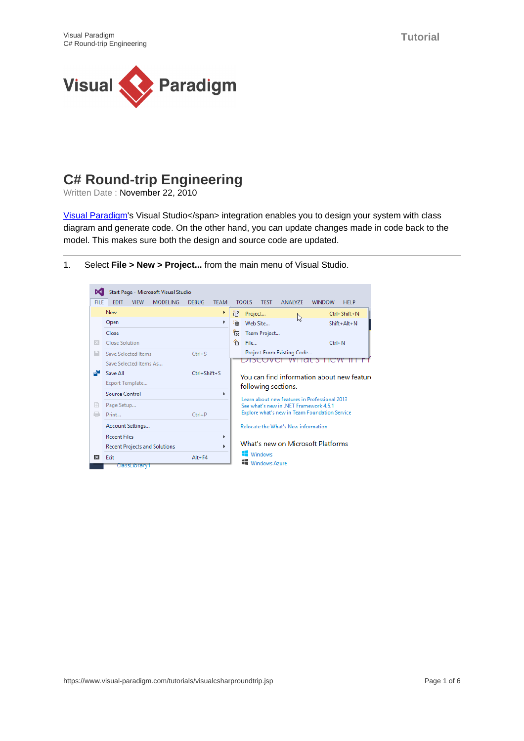

## **C# Round-trip Engineering**

Written Date : November 22, 2010

[Visual Paradigm](https://www.visual-paradigm.com/)'s Visual Studio</span> integration enables you to design your system with class diagram and generate code. On the other hand, you can update changes made in code back to the model. This makes sure both the design and source code are updated.

- Start Page Microsoft Visual Studio FILE EDIT VIEW MODELING DEBUG TEAM TOOLS TEST ANALYZE WINDOW HELP New  $\bullet$  $\frac{1}{\sqrt{2}}$  Project...<br>  $\frac{1}{\sqrt{2}}$  Project... Open  $\mathbf{r}$ <sup>2</sup><sup>6</sup> Web Site... Shift+Alt+N Close 信 Team Project... Close Solution 省 File...  $Ctrl + N$ Project From Existing Code... **The Save Selected Items**  $Ctrl + S$ Discover what's new mir! Save Selected Items As... Save All Ctrl+Shift+S You can find information about new feature Export Template... following sections.  $\bar{\mathbf{r}}$ Source Control Learn about new features in Professional 2013 Page Setup... See what's new in .NET Framework 4.5.1 Explore what's new in Team Foundation Service Print...  $Ctrl + P$ Account Settings... Relocate the What's New information **Recent Files** k What's new on Microsoft Platforms Recent Projects and Solutions  $\mathbf{r}$ **Windows**  $Ex$  Exit  $Alt + F4$ **Windows Azure** ClassLibrary1
- 1. Select **File > New > Project...** from the main menu of Visual Studio.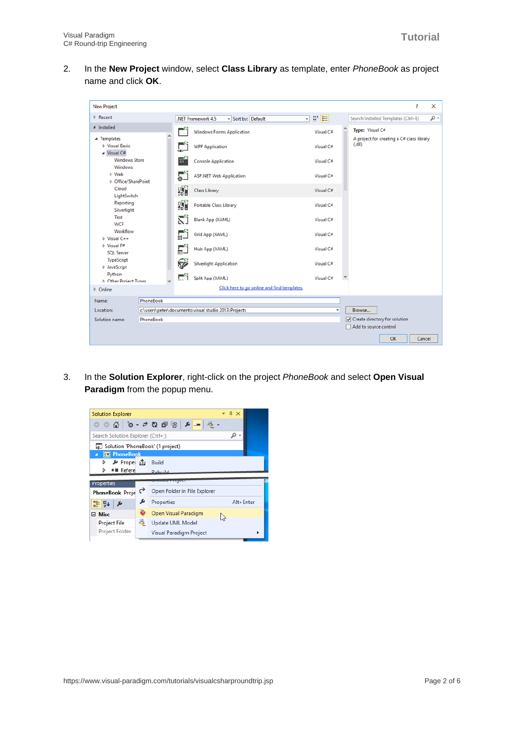2. In the **New Project** window, select **Class Library** as template, enter PhoneBook as project name and click **OK**.

| <b>New Project</b>                                                                                                                                                                                   |  |                                      |                                                      |                                                                  | ?<br>$\times$                                      |  |  |
|------------------------------------------------------------------------------------------------------------------------------------------------------------------------------------------------------|--|--------------------------------------|------------------------------------------------------|------------------------------------------------------------------|----------------------------------------------------|--|--|
| <b>D</b> Recent                                                                                                                                                                                      |  |                                      | - Sort by: Default<br>.NET Framework 4.5             | - م<br>Search Installed Templates (Ctrl+E)                       |                                                    |  |  |
| 4 Installed                                                                                                                                                                                          |  |                                      | <b>Windows Forms Application</b>                     | Visual C#                                                        | Type: Visual C#                                    |  |  |
| ▲ Templates<br><b>D</b> Visual Basic<br>▲ Visual C#                                                                                                                                                  |  | 呈                                    | <b>WPF Application</b>                               | Visual C#                                                        | A project for creating a C# class library<br>(d  ) |  |  |
| <b>Windows Store</b><br><b>Windows</b>                                                                                                                                                               |  | ್ಷ                                   | <b>Console Application</b>                           | Visual C#                                                        |                                                    |  |  |
| D Web<br>D Office/SharePoint<br>Cloud<br>LightSwitch<br>Reporting<br>Silverlight<br>Test<br><b>WCF</b><br>Workflow<br>D Visual C++<br>D Visual F#<br><b>SOL Server</b><br>TypeScript<br>D JavaScript |  | $\overline{\bullet}^{\circ}$         | <b>ASP.NET Web Application</b>                       | Visual C#                                                        |                                                    |  |  |
|                                                                                                                                                                                                      |  | ÆŤ                                   | <b>Class Library</b>                                 | Visual C#                                                        |                                                    |  |  |
|                                                                                                                                                                                                      |  | ÄÏ                                   | Portable Class Library                               | Visual C#                                                        |                                                    |  |  |
|                                                                                                                                                                                                      |  | ۲Î                                   | Blank App (XAML)                                     | Visual C#                                                        |                                                    |  |  |
|                                                                                                                                                                                                      |  | $\overline{\mathbb{R}}^{\mathsf{c}}$ | Grid App (XAML)                                      | Visual C#                                                        |                                                    |  |  |
|                                                                                                                                                                                                      |  |                                      | Hub App (XAML)                                       | Visual C#                                                        |                                                    |  |  |
|                                                                                                                                                                                                      |  |                                      | <b>Silverlight Application</b>                       | Visual C#                                                        |                                                    |  |  |
| Python<br><b>b</b> Other Project Tynes                                                                                                                                                               |  | $\mathbb{F}^{c}$ i                   | Split App (XAML)                                     | Visual C#                                                        |                                                    |  |  |
| Click here to go online and find templates.<br>D Online                                                                                                                                              |  |                                      |                                                      |                                                                  |                                                    |  |  |
| PhoneBook<br>Name:<br>Location:                                                                                                                                                                      |  |                                      |                                                      |                                                                  |                                                    |  |  |
|                                                                                                                                                                                                      |  |                                      | c:\users\peter\documents\visual studio 2013\Projects | Browse<br>Create directory for solution<br>Add to source control |                                                    |  |  |
| Solution name:<br>PhoneBook                                                                                                                                                                          |  |                                      |                                                      |                                                                  |                                                    |  |  |
|                                                                                                                                                                                                      |  |                                      |                                                      |                                                                  | OK<br>Cancel                                       |  |  |

3. In the **Solution Explorer**, right-click on the project PhoneBook and select **Open Visual Paradigm** from the popup menu.

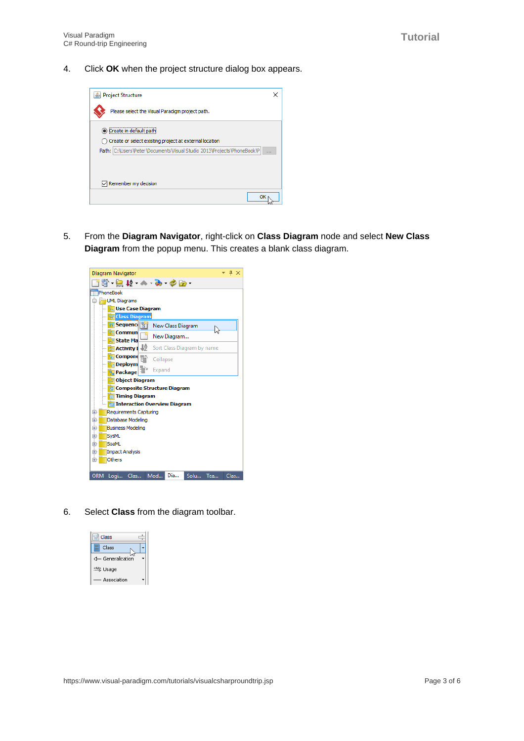4. Click **OK** when the project structure dialog box appears.



5. From the **Diagram Navigator**, right-click on **Class Diagram** node and select **New Class Diagram** from the popup menu. This creates a blank class diagram.



6. Select **Class** from the diagram toolbar.

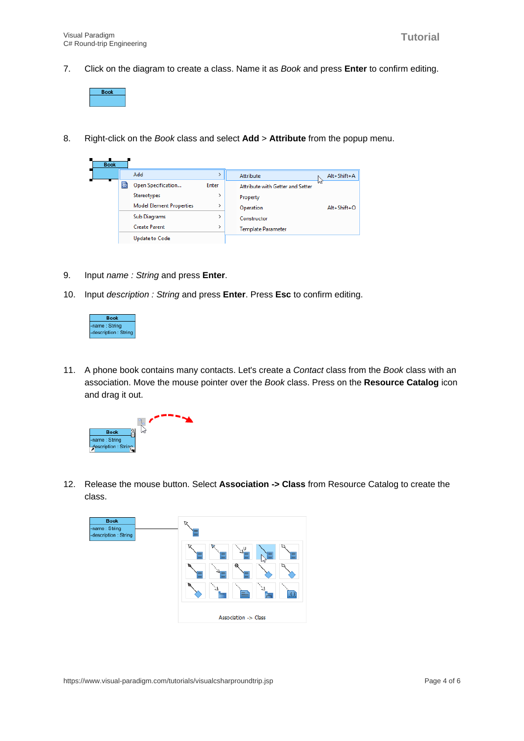7. Click on the diagram to create a class. Name it as Book and press **Enter** to confirm editing.



8. Right-click on the Book class and select **Add** > **Attribute** from the popup menu.

| <b>Book</b> |  |                                      |                                 |              |                                  |                   |  |
|-------------|--|--------------------------------------|---------------------------------|--------------|----------------------------------|-------------------|--|
|             |  |                                      | Add                             | Attribute    |                                  | Alt+Shift+A       |  |
|             |  | Open Specification<br>Stereotypes    |                                 | <b>Enter</b> | Attribute with Getter and Setter |                   |  |
|             |  |                                      |                                 |              | Property                         |                   |  |
|             |  |                                      | <b>Model Element Properties</b> |              | Operation                        | $Alt + Shift + O$ |  |
|             |  | Sub Diagrams<br><b>Create Parent</b> |                                 |              | Constructor                      |                   |  |
|             |  |                                      |                                 |              | Template Parameter               |                   |  |
|             |  |                                      | <b>Update to Code</b>           |              |                                  |                   |  |

- 9. Input name : String and press **Enter**.
- 10. Input description : String and press **Enter**. Press **Esc** to confirm editing.



11. A phone book contains many contacts. Let's create a Contact class from the Book class with an association. Move the mouse pointer over the Book class. Press on the **Resource Catalog** icon and drag it out.



12. Release the mouse button. Select **Association -> Class** from Resource Catalog to create the class.

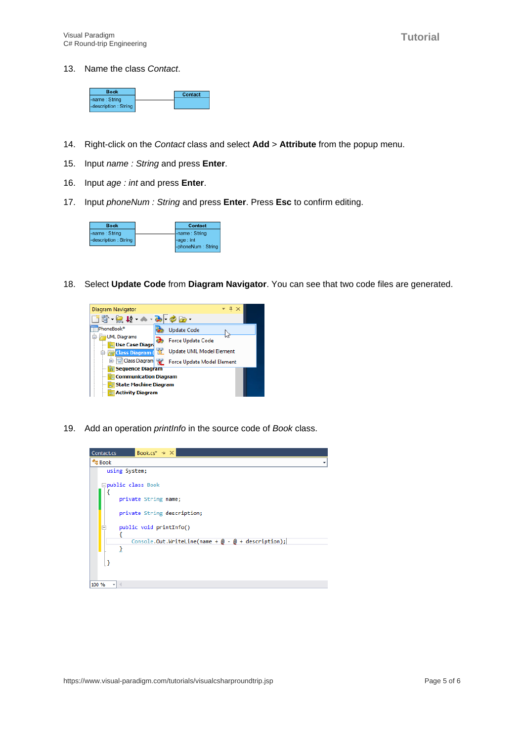13. Name the class Contact.



- 14. Right-click on the Contact class and select **Add** > **Attribute** from the popup menu.
- 15. Input name : String and press **Enter**.
- 16. Input age : int and press **Enter**.
- 17. Input phoneNum : String and press **Enter**. Press **Esc** to confirm editing.



18. Select **Update Code** from **Diagram Navigator**. You can see that two code files are generated.



19. Add an operation *printlnfo* in the source code of Book class.